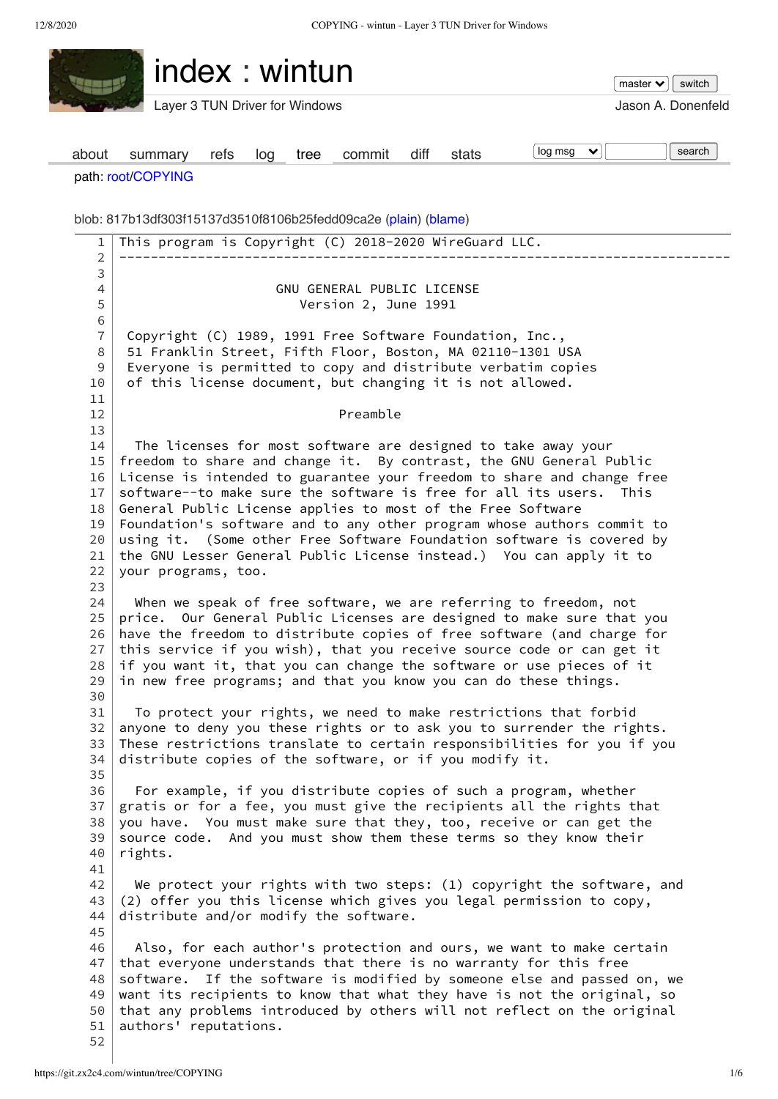FV.

**Contact Contact Contact Contact Contact Contact Contact Contact Contact Contact Contact Contact Contact Contact** 

<span id="page-0-19"></span><span id="page-0-18"></span><span id="page-0-17"></span><span id="page-0-16"></span><span id="page-0-15"></span><span id="page-0-14"></span><span id="page-0-13"></span><span id="page-0-12"></span><span id="page-0-11"></span><span id="page-0-10"></span><span id="page-0-9"></span><span id="page-0-8"></span><span id="page-0-7"></span><span id="page-0-6"></span><span id="page-0-5"></span><span id="page-0-4"></span><span id="page-0-3"></span><span id="page-0-2"></span><span id="page-0-1"></span><span id="page-0-0"></span>

|                | index: wintun<br>switch<br>master $\blacktriangleright$                                                                                            |  |  |  |  |
|----------------|----------------------------------------------------------------------------------------------------------------------------------------------------|--|--|--|--|
|                | Layer 3 TUN Driver for Windows<br>Jason A. Donenfeld                                                                                               |  |  |  |  |
| about          | log msg<br>search<br>×.<br>diff<br>commit<br>stats<br>summary<br>tree<br>refs<br>log                                                               |  |  |  |  |
|                | path: root/COPYING                                                                                                                                 |  |  |  |  |
|                | blob: 817b13df303f15137d3510f8106b25fedd09ca2e (plain) (blame)                                                                                     |  |  |  |  |
| $\mathbf{1}$   | This program is Copyright (C) 2018-2020 WireGuard LLC.                                                                                             |  |  |  |  |
| 2<br>3         |                                                                                                                                                    |  |  |  |  |
| 4              | GNU GENERAL PUBLIC LICENSE                                                                                                                         |  |  |  |  |
| 5              | Version 2, June 1991                                                                                                                               |  |  |  |  |
| 6              |                                                                                                                                                    |  |  |  |  |
| $\overline{7}$ | Copyright (C) 1989, 1991 Free Software Foundation, Inc.,                                                                                           |  |  |  |  |
| 8              | 51 Franklin Street, Fifth Floor, Boston, MA 02110-1301 USA                                                                                         |  |  |  |  |
| 9              | Everyone is permitted to copy and distribute verbatim copies                                                                                       |  |  |  |  |
| 10             | of this license document, but changing it is not allowed.                                                                                          |  |  |  |  |
| 11             | Preamble                                                                                                                                           |  |  |  |  |
| 12<br>13       |                                                                                                                                                    |  |  |  |  |
| 14             | The licenses for most software are designed to take away your                                                                                      |  |  |  |  |
| 15             | freedom to share and change it. By contrast, the GNU General Public                                                                                |  |  |  |  |
| 16             | License is intended to guarantee your freedom to share and change free                                                                             |  |  |  |  |
| 17             | software--to make sure the software is free for all its users. This                                                                                |  |  |  |  |
| 18             | General Public License applies to most of the Free Software                                                                                        |  |  |  |  |
| 19             | Foundation's software and to any other program whose authors commit to                                                                             |  |  |  |  |
| 20             | using it. (Some other Free Software Foundation software is covered by                                                                              |  |  |  |  |
| 21<br>22       | the GNU Lesser General Public License instead.) You can apply it to                                                                                |  |  |  |  |
| 23             | your programs, too.                                                                                                                                |  |  |  |  |
| 24             | When we speak of free software, we are referring to freedom, not                                                                                   |  |  |  |  |
| 25             | price. Our General Public Licenses are designed to make sure that you                                                                              |  |  |  |  |
| 26             | have the freedom to distribute copies of free software (and charge for                                                                             |  |  |  |  |
| 27             | this service if you wish), that you receive source code or can get it                                                                              |  |  |  |  |
| 28             | if you want it, that you can change the software or use pieces of it                                                                               |  |  |  |  |
| 29             | in new free programs; and that you know you can do these things.                                                                                   |  |  |  |  |
| 30<br>31       | To protect your rights, we need to make restrictions that forbid                                                                                   |  |  |  |  |
| 32             | anyone to deny you these rights or to ask you to surrender the rights.                                                                             |  |  |  |  |
| 33             | These restrictions translate to certain responsibilities for you if you                                                                            |  |  |  |  |
| 34             | distribute copies of the software, or if you modify it.                                                                                            |  |  |  |  |
| 35             |                                                                                                                                                    |  |  |  |  |
| 36             | For example, if you distribute copies of such a program, whether                                                                                   |  |  |  |  |
| 37             | gratis or for a fee, you must give the recipients all the rights that                                                                              |  |  |  |  |
| 38             | you have. You must make sure that they, too, receive or can get the                                                                                |  |  |  |  |
| 39<br>40       | source code. And you must show them these terms so they know their<br>rights.                                                                      |  |  |  |  |
| 41             |                                                                                                                                                    |  |  |  |  |
| 42             | We protect your rights with two steps: (1) copyright the software, and                                                                             |  |  |  |  |
| 43             | (2) offer you this license which gives you legal permission to copy,                                                                               |  |  |  |  |
| 44             | distribute and/or modify the software.                                                                                                             |  |  |  |  |
| 45             |                                                                                                                                                    |  |  |  |  |
| 46             | Also, for each author's protection and ours, we want to make certain                                                                               |  |  |  |  |
| 47             | that everyone understands that there is no warranty for this free                                                                                  |  |  |  |  |
| 48             | software. If the software is modified by someone else and passed on, we                                                                            |  |  |  |  |
| 49<br>50       | want its recipients to know that what they have is not the original, so<br>that any problems introduced by others will not reflect on the original |  |  |  |  |
| 51             | authors' reputations.                                                                                                                              |  |  |  |  |
|                |                                                                                                                                                    |  |  |  |  |

<span id="page-0-52"></span><span id="page-0-51"></span><span id="page-0-50"></span><span id="page-0-49"></span><span id="page-0-48"></span><span id="page-0-47"></span><span id="page-0-46"></span><span id="page-0-45"></span><span id="page-0-44"></span><span id="page-0-43"></span><span id="page-0-42"></span><span id="page-0-41"></span><span id="page-0-40"></span><span id="page-0-39"></span><span id="page-0-38"></span><span id="page-0-37"></span><span id="page-0-36"></span><span id="page-0-35"></span><span id="page-0-34"></span><span id="page-0-33"></span><span id="page-0-32"></span><span id="page-0-31"></span><span id="page-0-30"></span><span id="page-0-29"></span><span id="page-0-28"></span><span id="page-0-27"></span><span id="page-0-26"></span><span id="page-0-25"></span><span id="page-0-24"></span><span id="page-0-23"></span><span id="page-0-22"></span><span id="page-0-21"></span><span id="page-0-20"></span>[52](#page-0-51)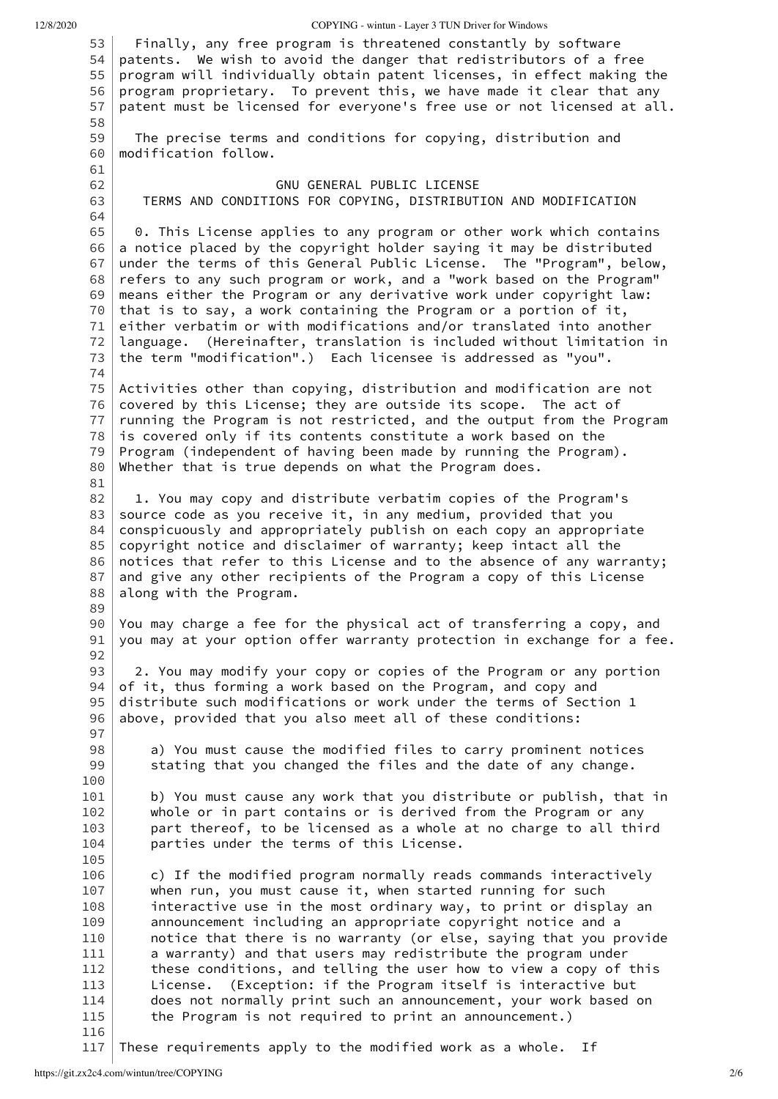|  |  | 12/8/2020 |
|--|--|-----------|

12/8/2020 COPYING - wintun - Layer 3 TUN Driver for Windows

<span id="page-1-64"></span><span id="page-1-63"></span><span id="page-1-62"></span><span id="page-1-61"></span><span id="page-1-60"></span><span id="page-1-59"></span><span id="page-1-58"></span><span id="page-1-57"></span><span id="page-1-56"></span><span id="page-1-55"></span><span id="page-1-54"></span><span id="page-1-53"></span><span id="page-1-52"></span><span id="page-1-51"></span><span id="page-1-50"></span><span id="page-1-49"></span><span id="page-1-48"></span><span id="page-1-47"></span><span id="page-1-46"></span><span id="page-1-45"></span><span id="page-1-44"></span><span id="page-1-43"></span><span id="page-1-42"></span><span id="page-1-41"></span><span id="page-1-40"></span><span id="page-1-39"></span><span id="page-1-38"></span><span id="page-1-37"></span><span id="page-1-36"></span><span id="page-1-35"></span><span id="page-1-34"></span><span id="page-1-33"></span><span id="page-1-32"></span><span id="page-1-31"></span><span id="page-1-30"></span><span id="page-1-29"></span><span id="page-1-28"></span><span id="page-1-27"></span><span id="page-1-26"></span><span id="page-1-25"></span><span id="page-1-24"></span><span id="page-1-23"></span><span id="page-1-22"></span><span id="page-1-21"></span><span id="page-1-20"></span><span id="page-1-19"></span><span id="page-1-18"></span><span id="page-1-17"></span><span id="page-1-16"></span><span id="page-1-15"></span><span id="page-1-14"></span><span id="page-1-13"></span><span id="page-1-12"></span><span id="page-1-11"></span><span id="page-1-10"></span><span id="page-1-9"></span><span id="page-1-8"></span><span id="page-1-7"></span><span id="page-1-6"></span><span id="page-1-5"></span><span id="page-1-4"></span><span id="page-1-3"></span><span id="page-1-2"></span><span id="page-1-1"></span><span id="page-1-0"></span>[53](#page-0-52) [54](#page-1-0) [55](#page-1-1) [56](#page-1-2) [57](#page-1-3) [58](#page-1-4) [59](#page-1-5) [60](#page-1-6) [61](#page-1-7) [62](#page-1-8) [63](#page-1-9) [64](#page-1-10) [65](#page-1-11) [66](#page-1-12) [67](#page-1-13) [68](#page-1-14) [69](#page-1-15) [70](#page-1-16) [71](#page-1-17) [72](#page-1-18) [73](#page-1-19) [74](#page-1-20) [75](#page-1-21) [76](#page-1-22) [77](#page-1-23) [78](#page-1-24) [79](#page-1-25) [80](#page-1-26) [81](#page-1-27) [82](#page-1-28) [83](#page-1-29) [84](#page-1-30) [85](#page-1-31) [86](#page-1-32) [87](#page-1-33) [88](#page-1-34) [89](#page-1-35) [90](#page-1-36) [91](#page-1-37) [92](#page-1-38) [93](#page-1-39) [94](#page-1-40) [95](#page-1-41) [96](#page-1-42) [97](#page-1-43) [98](#page-1-44) [99](#page-1-45) [100](#page-1-46) [101](#page-1-47) [102](#page-1-48) [103](#page-1-49) [104](#page-1-50) [105](#page-1-51) [106](#page-1-52) [107](#page-1-53) [108](#page-1-54) [109](#page-1-55) [110](#page-1-56) [111](#page-1-57) [112](#page-1-58) [113](#page-1-59) [114](#page-1-60) [115](#page-1-61) [116](#page-1-62) [117](#page-1-63) Finally, any free program is threatened constantly by software patents. We wish to avoid the danger that redistributors of a free program will individually obtain patent licenses, in effect making the program proprietary. To prevent this, we have made it clear that any patent must be licensed for everyone's free use or not licensed at all. The precise terms and conditions for copying, distribution and modification follow. GNU GENERAL PUBLIC LICENSE TERMS AND CONDITIONS FOR COPYING, DISTRIBUTION AND MODIFICATION 0. This License applies to any program or other work which contains a notice placed by the copyright holder saying it may be distributed under the terms of this General Public License. The "Program", below, refers to any such program or work, and a "work based on the Program" means either the Program or any derivative work under copyright law: that is to say, a work containing the Program or a portion of it, either verbatim or with modifications and/or translated into another language. (Hereinafter, translation is included without limitation in the term "modification".) Each licensee is addressed as "you". Activities other than copying, distribution and modification are not covered by this License; they are outside its scope. The act of running the Program is not restricted, and the output from the Program is covered only if its contents constitute a work based on the Program (independent of having been made by running the Program). Whether that is true depends on what the Program does. 1. You may copy and distribute verbatim copies of the Program's source code as you receive it, in any medium, provided that you conspicuously and appropriately publish on each copy an appropriate copyright notice and disclaimer of warranty; keep intact all the notices that refer to this License and to the absence of any warranty; and give any other recipients of the Program a copy of this License along with the Program. You may charge a fee for the physical act of transferring a copy, and you may at your option offer warranty protection in exchange for a fee. 2. You may modify your copy or copies of the Program or any portion of it, thus forming a work based on the Program, and copy and distribute such modifications or work under the terms of Section 1 above, provided that you also meet all of these conditions: a) You must cause the modified files to carry prominent notices stating that you changed the files and the date of any change. b) You must cause any work that you distribute or publish, that in whole or in part contains or is derived from the Program or any part thereof, to be licensed as a whole at no charge to all third parties under the terms of this License. c) If the modified program normally reads commands interactively when run, you must cause it, when started running for such interactive use in the most ordinary way, to print or display an announcement including an appropriate copyright notice and a notice that there is no warranty (or else, saying that you provide a warranty) and that users may redistribute the program under these conditions, and telling the user how to view a copy of this License. (Exception: if the Program itself is interactive but does not normally print such an announcement, your work based on the Program is not required to print an announcement.) These requirements apply to the modified work as a whole. If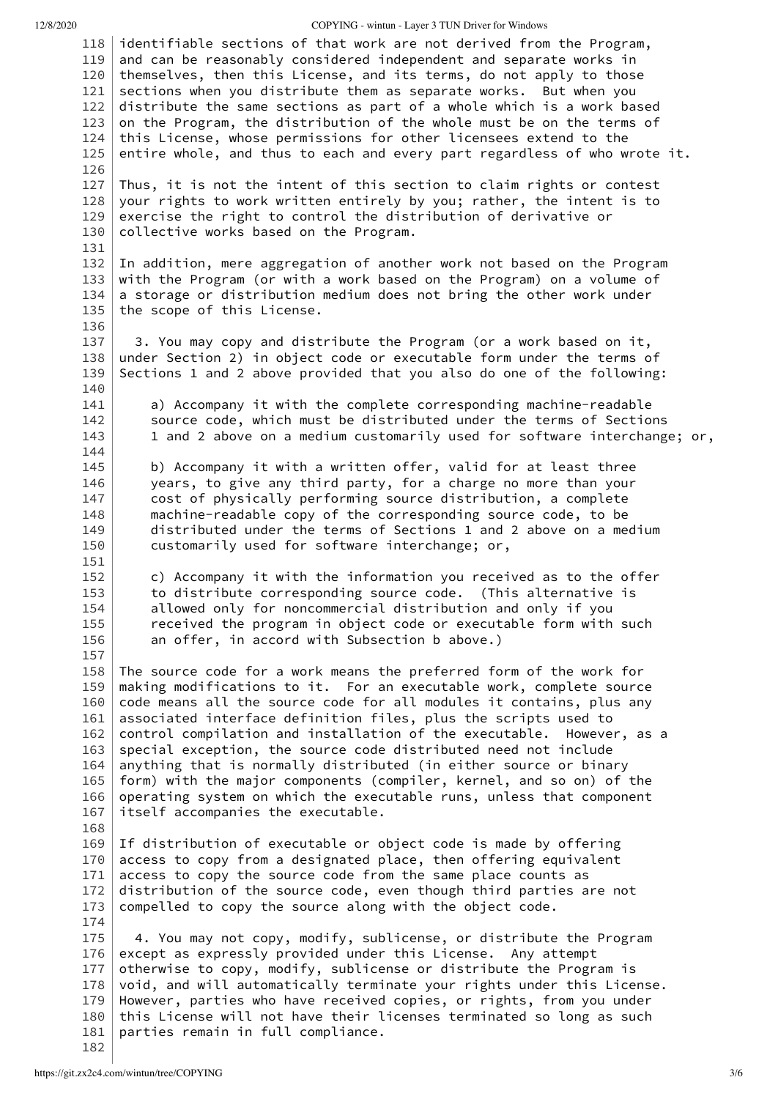12/8/2020 COPYING - wintun - Layer 3 TUN Driver for Windows

<span id="page-2-64"></span><span id="page-2-63"></span><span id="page-2-62"></span><span id="page-2-61"></span><span id="page-2-60"></span><span id="page-2-59"></span><span id="page-2-58"></span><span id="page-2-57"></span><span id="page-2-56"></span><span id="page-2-55"></span><span id="page-2-54"></span><span id="page-2-53"></span><span id="page-2-52"></span><span id="page-2-51"></span><span id="page-2-50"></span><span id="page-2-49"></span><span id="page-2-48"></span><span id="page-2-47"></span><span id="page-2-46"></span><span id="page-2-45"></span><span id="page-2-44"></span><span id="page-2-43"></span><span id="page-2-42"></span><span id="page-2-41"></span><span id="page-2-40"></span><span id="page-2-39"></span><span id="page-2-38"></span><span id="page-2-37"></span><span id="page-2-36"></span><span id="page-2-35"></span><span id="page-2-34"></span><span id="page-2-33"></span><span id="page-2-32"></span><span id="page-2-31"></span><span id="page-2-30"></span><span id="page-2-29"></span><span id="page-2-28"></span><span id="page-2-27"></span><span id="page-2-26"></span><span id="page-2-25"></span><span id="page-2-24"></span><span id="page-2-23"></span><span id="page-2-22"></span><span id="page-2-21"></span><span id="page-2-20"></span><span id="page-2-19"></span><span id="page-2-18"></span><span id="page-2-17"></span><span id="page-2-16"></span><span id="page-2-15"></span><span id="page-2-14"></span><span id="page-2-13"></span><span id="page-2-12"></span><span id="page-2-11"></span><span id="page-2-10"></span><span id="page-2-9"></span><span id="page-2-8"></span><span id="page-2-7"></span><span id="page-2-6"></span><span id="page-2-5"></span><span id="page-2-4"></span><span id="page-2-3"></span><span id="page-2-2"></span><span id="page-2-1"></span><span id="page-2-0"></span>[118](#page-1-64) [119](#page-2-0) [120](#page-2-1) [121](#page-2-2) [122](#page-2-3) [123](#page-2-4) [124](#page-2-5) [125](#page-2-6) [126](#page-2-7) [127](#page-2-8) [128](#page-2-9) [129](#page-2-10) [130](#page-2-11) [131](#page-2-12) [132](#page-2-13) [133](#page-2-14) [134](#page-2-15) [135](#page-2-16) [136](#page-2-17) [137](#page-2-18) [138](#page-2-19) [139](#page-2-20) [140](#page-2-21) [141](#page-2-22) [142](#page-2-23) [143](#page-2-24) [144](#page-2-25) [145](#page-2-26) [146](#page-2-27) [147](#page-2-28) [148](#page-2-29) [149](#page-2-30) [150](#page-2-31) [151](#page-2-32) [152](#page-2-33) [153](#page-2-34) [154](#page-2-35) [155](#page-2-36) [156](#page-2-37) [157](#page-2-38) [158](#page-2-39) [159](#page-2-40) [160](#page-2-41) [161](#page-2-42) [162](#page-2-43) [163](#page-2-44) [164](#page-2-45) [165](#page-2-46) [166](#page-2-47) [167](#page-2-48) [168](#page-2-49) [169](#page-2-50) [170](#page-2-51) [171](#page-2-52) [172](#page-2-53) [173](#page-2-54) [174](#page-2-55) [175](#page-2-56) [176](#page-2-57) [177](#page-2-58) [178](#page-2-59) [179](#page-2-60) [180](#page-2-61) [181](#page-2-62) [182](#page-2-63) identifiable sections of that work are not derived from the Program, and can be reasonably considered independent and separate works in themselves, then this License, and its terms, do not apply to those sections when you distribute them as separate works. But when you distribute the same sections as part of a whole which is a work based on the Program, the distribution of the whole must be on the terms of this License, whose permissions for other licensees extend to the entire whole, and thus to each and every part regardless of who wrote it. Thus, it is not the intent of this section to claim rights or contest your rights to work written entirely by you; rather, the intent is to exercise the right to control the distribution of derivative or collective works based on the Program. In addition, mere aggregation of another work not based on the Program with the Program (or with a work based on the Program) on a volume of a storage or distribution medium does not bring the other work under the scope of this License. 3. You may copy and distribute the Program (or a work based on it, under Section 2) in object code or executable form under the terms of Sections 1 and 2 above provided that you also do one of the following: a) Accompany it with the complete corresponding machine-readable source code, which must be distributed under the terms of Sections 1 and 2 above on a medium customarily used for software interchange; or, b) Accompany it with a written offer, valid for at least three years, to give any third party, for a charge no more than your cost of physically performing source distribution, a complete machine-readable copy of the corresponding source code, to be distributed under the terms of Sections 1 and 2 above on a medium customarily used for software interchange; or, c) Accompany it with the information you received as to the offer to distribute corresponding source code. (This alternative is allowed only for noncommercial distribution and only if you received the program in object code or executable form with such an offer, in accord with Subsection b above.) The source code for a work means the preferred form of the work for making modifications to it. For an executable work, complete source code means all the source code for all modules it contains, plus any associated interface definition files, plus the scripts used to control compilation and installation of the executable. However, as a special exception, the source code distributed need not include anything that is normally distributed (in either source or binary form) with the major components (compiler, kernel, and so on) of the operating system on which the executable runs, unless that component itself accompanies the executable. If distribution of executable or object code is made by offering access to copy from a designated place, then offering equivalent access to copy the source code from the same place counts as distribution of the source code, even though third parties are not compelled to copy the source along with the object code. 4. You may not copy, modify, sublicense, or distribute the Program except as expressly provided under this License. Any attempt otherwise to copy, modify, sublicense or distribute the Program is void, and will automatically terminate your rights under this License. However, parties who have received copies, or rights, from you under this License will not have their licenses terminated so long as such parties remain in full compliance.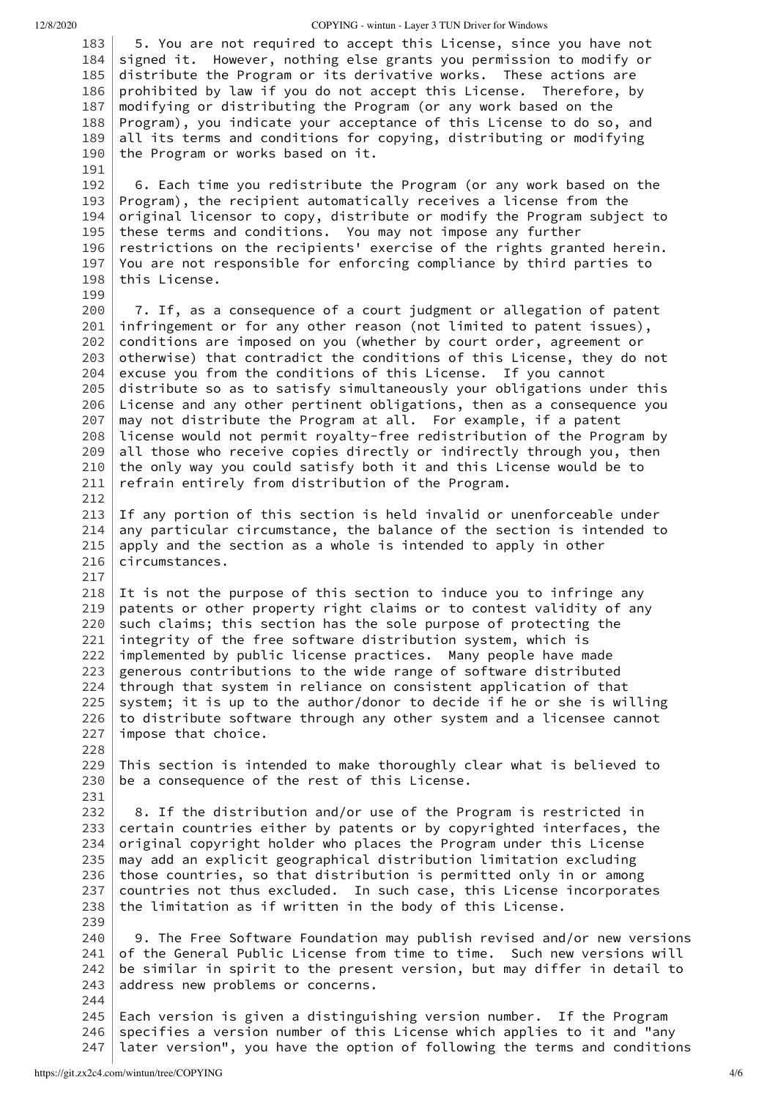<span id="page-3-7"></span><span id="page-3-6"></span><span id="page-3-5"></span><span id="page-3-4"></span>[191](#page-3-7)

<span id="page-3-15"></span><span id="page-3-14"></span><span id="page-3-13"></span><span id="page-3-12"></span>[199](#page-3-15)

<span id="page-3-33"></span><span id="page-3-32"></span>[217](#page-3-33)

<span id="page-3-44"></span><span id="page-3-43"></span><span id="page-3-42"></span><span id="page-3-41"></span><span id="page-3-40"></span>[228](#page-3-44)

<span id="page-3-47"></span>[231](#page-3-47)

<span id="page-3-55"></span><span id="page-3-54"></span><span id="page-3-53"></span><span id="page-3-52"></span>[239](#page-3-55)

<span id="page-3-60"></span><span id="page-3-59"></span>[244](#page-3-60)

12/8/2020 COPYING - wintun - Layer 3 TUN Driver for Windows

<span id="page-3-3"></span><span id="page-3-2"></span><span id="page-3-1"></span><span id="page-3-0"></span>[183](#page-2-64) [184](#page-3-0) [185](#page-3-1) [186](#page-3-2) [187](#page-3-3) [188](#page-3-4) [189](#page-3-5) [190](#page-3-6) 5. You are not required to accept this License, since you have not signed it. However, nothing else grants you permission to modify or distribute the Program or its derivative works. These actions are prohibited by law if you do not accept this License. Therefore, by modifying or distributing the Program (or any work based on the Program), you indicate your acceptance of this License to do so, and all its terms and conditions for copying, distributing or modifying the Program or works based on it.

<span id="page-3-11"></span><span id="page-3-10"></span><span id="page-3-9"></span><span id="page-3-8"></span>[192](#page-3-8) [193](#page-3-9) [194](#page-3-10) [195](#page-3-11) [196](#page-3-12) [197](#page-3-13) [198](#page-3-14) 6. Each time you redistribute the Program (or any work based on the Program), the recipient automatically receives a license from the original licensor to copy, distribute or modify the Program subject to these terms and conditions. You may not impose any further restrictions on the recipients' exercise of the rights granted herein. You are not responsible for enforcing compliance by third parties to this License.

<span id="page-3-22"></span><span id="page-3-21"></span><span id="page-3-20"></span><span id="page-3-19"></span><span id="page-3-18"></span><span id="page-3-17"></span><span id="page-3-16"></span>[200](#page-3-16) [201](#page-3-17) [202](#page-3-18) [203](#page-3-19) [204](#page-3-20) [205](#page-3-21) [206](#page-3-22) [207](#page-3-23) [208](#page-3-24) [209](#page-3-25) [210](#page-3-26) [211](#page-3-27) [212](#page-3-28) 7. If, as a consequence of a court judgment or allegation of patent infringement or for any other reason (not limited to patent issues), conditions are imposed on you (whether by court order, agreement or otherwise) that contradict the conditions of this License, they do not excuse you from the conditions of this License. If you cannot distribute so as to satisfy simultaneously your obligations under this License and any other pertinent obligations, then as a consequence you may not distribute the Program at all. For example, if a patent license would not permit royalty-free redistribution of the Program by all those who receive copies directly or indirectly through you, then the only way you could satisfy both it and this License would be to refrain entirely from distribution of the Program.

<span id="page-3-31"></span><span id="page-3-30"></span><span id="page-3-29"></span><span id="page-3-28"></span><span id="page-3-27"></span><span id="page-3-26"></span><span id="page-3-25"></span><span id="page-3-24"></span><span id="page-3-23"></span>[213](#page-3-29) [214](#page-3-30) [215](#page-3-31) [216](#page-3-32) If any portion of this section is held invalid or unenforceable under any particular circumstance, the balance of the section is intended to apply and the section as a whole is intended to apply in other circumstances.

<span id="page-3-39"></span><span id="page-3-38"></span><span id="page-3-37"></span><span id="page-3-36"></span><span id="page-3-35"></span><span id="page-3-34"></span>[218](#page-3-34) [219](#page-3-35) [220](#page-3-36) [221](#page-3-37) [222](#page-3-38) [223](#page-3-39) [224](#page-3-40) [225](#page-3-41) [226](#page-3-42) [227](#page-3-43) It is not the purpose of this section to induce you to infringe any patents or other property right claims or to contest validity of any such claims; this section has the sole purpose of protecting the integrity of the free software distribution system, which is implemented by public license practices. Many people have made generous contributions to the wide range of software distributed through that system in reliance on consistent application of that system; it is up to the author/donor to decide if he or she is willing to distribute software through any other system and a licensee cannot impose that choice.

<span id="page-3-46"></span><span id="page-3-45"></span>[229](#page-3-45) [230](#page-3-46) This section is intended to make thoroughly clear what is believed to be a consequence of the rest of this License.

<span id="page-3-51"></span><span id="page-3-50"></span><span id="page-3-49"></span><span id="page-3-48"></span>[232](#page-3-48) [233](#page-3-49) [234](#page-3-50) [235](#page-3-51) [236](#page-3-52) [237](#page-3-53) [238](#page-3-54) 8. If the distribution and/or use of the Program is restricted in certain countries either by patents or by copyrighted interfaces, the original copyright holder who places the Program under this License may add an explicit geographical distribution limitation excluding those countries, so that distribution is permitted only in or among countries not thus excluded. In such case, this License incorporates the limitation as if written in the body of this License.

<span id="page-3-58"></span><span id="page-3-57"></span><span id="page-3-56"></span>[240](#page-3-56) [241](#page-3-57) [242](#page-3-58) [243](#page-3-59) 9. The Free Software Foundation may publish revised and/or new versions of the General Public License from time to time. Such new versions will be similar in spirit to the present version, but may differ in detail to address new problems or concerns.

<span id="page-3-64"></span><span id="page-3-63"></span><span id="page-3-62"></span><span id="page-3-61"></span>[245](#page-3-61) [246](#page-3-62) [247](#page-3-63) Each version is given a distinguishing version number. If the Program specifies a version number of this License which applies to it and "any later version", you have the option of following the terms and conditions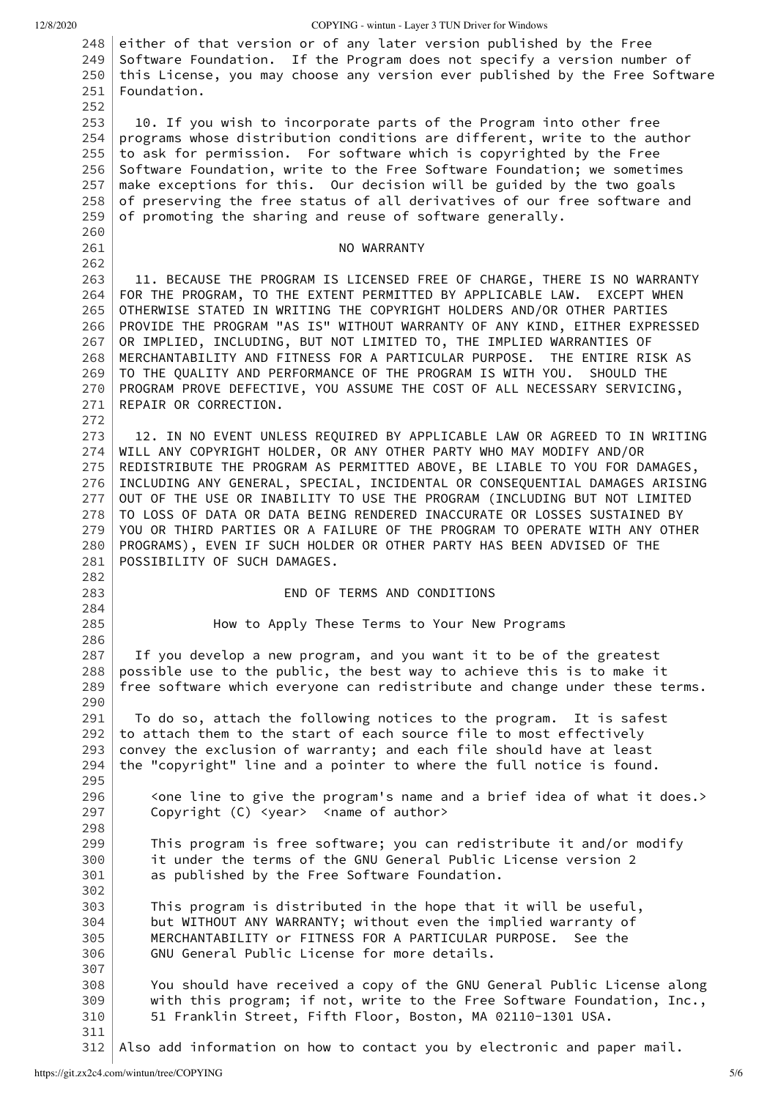12/8/2020 COPYING - wintun - Layer 3 TUN Driver for Windows

<span id="page-4-31"></span><span id="page-4-30"></span><span id="page-4-29"></span><span id="page-4-28"></span><span id="page-4-27"></span><span id="page-4-26"></span><span id="page-4-25"></span><span id="page-4-24"></span><span id="page-4-23"></span><span id="page-4-22"></span><span id="page-4-21"></span><span id="page-4-20"></span><span id="page-4-19"></span><span id="page-4-18"></span><span id="page-4-17"></span><span id="page-4-16"></span><span id="page-4-15"></span><span id="page-4-14"></span><span id="page-4-13"></span><span id="page-4-12"></span><span id="page-4-11"></span><span id="page-4-10"></span><span id="page-4-9"></span><span id="page-4-8"></span><span id="page-4-7"></span><span id="page-4-6"></span><span id="page-4-5"></span><span id="page-4-4"></span><span id="page-4-3"></span><span id="page-4-2"></span><span id="page-4-1"></span><span id="page-4-0"></span>[248](#page-3-64) [249](#page-4-0) [250](#page-4-1) [251](#page-4-2) [252](#page-4-3) [253](#page-4-4) [254](#page-4-5) [255](#page-4-6) [256](#page-4-7) [257](#page-4-8) [258](#page-4-9) [259](#page-4-10) [260](#page-4-11) [261](#page-4-12) [262](#page-4-13) [263](#page-4-14) [264](#page-4-15) [265](#page-4-16) [266](#page-4-17) [267](#page-4-18) [268](#page-4-19) [269](#page-4-20) [270](#page-4-21) [271](#page-4-22) [272](#page-4-23) [273](#page-4-24) [274](#page-4-25) [275](#page-4-26) [276](#page-4-27) [277](#page-4-28) [278](#page-4-29) [279](#page-4-30) [280](#page-4-31) [281](#page-4-32) [282](#page-4-33) [283](#page-4-34) [284](#page-4-35) [285](#page-4-36) [286](#page-4-37) [287](#page-4-38) [288](#page-4-39) [289](#page-4-40) [290](#page-4-41) [291](#page-4-42) [292](#page-4-43) [293](#page-4-44) [294](#page-4-45) [295](#page-4-46) [296](#page-4-47) [297](#page-4-48) [298](#page-4-49) [299](#page-4-50) [300](#page-4-51) [301](#page-4-52) [302](#page-4-53) [303](#page-4-54) [304](#page-4-55) [305](#page-4-56) [306](#page-4-57) [307](#page-4-58) [308](#page-4-59) [309](#page-4-60) [310](#page-4-61) [311](#page-4-62) either of that version or of any later version published by the Free Software Foundation. If the Program does not specify a version number of this License, you may choose any version ever published by the Free Software Foundation. 10. If you wish to incorporate parts of the Program into other free programs whose distribution conditions are different, write to the author to ask for permission. For software which is copyrighted by the Free Software Foundation, write to the Free Software Foundation; we sometimes make exceptions for this. Our decision will be guided by the two goals of preserving the free status of all derivatives of our free software and of promoting the sharing and reuse of software generally. NO WARRANTY 11. BECAUSE THE PROGRAM IS LICENSED FREE OF CHARGE, THERE IS NO WARRANTY FOR THE PROGRAM, TO THE EXTENT PERMITTED BY APPLICABLE LAW. EXCEPT WHEN OTHERWISE STATED IN WRITING THE COPYRIGHT HOLDERS AND/OR OTHER PARTIES PROVIDE THE PROGRAM "AS IS" WITHOUT WARRANTY OF ANY KIND, EITHER EXPRESSED OR IMPLIED, INCLUDING, BUT NOT LIMITED TO, THE IMPLIED WARRANTIES OF MERCHANTABILITY AND FITNESS FOR A PARTICULAR PURPOSE. THE ENTIRE RISK AS TO THE QUALITY AND PERFORMANCE OF THE PROGRAM IS WITH YOU. SHOULD THE PROGRAM PROVE DEFECTIVE, YOU ASSUME THE COST OF ALL NECESSARY SERVICING, REPAIR OR CORRECTION. 12. IN NO EVENT UNLESS REQUIRED BY APPLICABLE LAW OR AGREED TO IN WRITING WILL ANY COPYRIGHT HOLDER, OR ANY OTHER PARTY WHO MAY MODIFY AND/OR REDISTRIBUTE THE PROGRAM AS PERMITTED ABOVE, BE LIABLE TO YOU FOR DAMAGES, INCLUDING ANY GENERAL, SPECIAL, INCIDENTAL OR CONSEQUENTIAL DAMAGES ARISING OUT OF THE USE OR INABILITY TO USE THE PROGRAM (INCLUDING BUT NOT LIMITED TO LOSS OF DATA OR DATA BEING RENDERED INACCURATE OR LOSSES SUSTAINED BY YOU OR THIRD PARTIES OR A FAILURE OF THE PROGRAM TO OPERATE WITH ANY OTHER PROGRAMS), EVEN IF SUCH HOLDER OR OTHER PARTY HAS BEEN ADVISED OF THE POSSIBILITY OF SUCH DAMAGES. END OF TERMS AND CONDITIONS How to Apply These Terms to Your New Programs If you develop a new program, and you want it to be of the greatest possible use to the public, the best way to achieve this is to make it free software which everyone can redistribute and change under these terms. To do so, attach the following notices to the program. It is safest to attach them to the start of each source file to most effectively convey the exclusion of warranty; and each file should have at least the "copyright" line and a pointer to where the full notice is found. <one line to give the program's name and a brief idea of what it does.> Copyright (C) <year> <name of author> This program is free software; you can redistribute it and/or modify it under the terms of the GNU General Public License version 2 as published by the Free Software Foundation. This program is distributed in the hope that it will be useful, but WITHOUT ANY WARRANTY; without even the implied warranty of MERCHANTABILITY or FITNESS FOR A PARTICULAR PURPOSE. See the GNU General Public License for more details. You should have received a copy of the GNU General Public License along with this program; if not, write to the Free Software Foundation, Inc., 51 Franklin Street, Fifth Floor, Boston, MA 02110-1301 USA.

<span id="page-4-64"></span><span id="page-4-63"></span><span id="page-4-62"></span><span id="page-4-61"></span><span id="page-4-60"></span><span id="page-4-59"></span><span id="page-4-58"></span><span id="page-4-57"></span><span id="page-4-56"></span><span id="page-4-55"></span><span id="page-4-54"></span><span id="page-4-53"></span><span id="page-4-52"></span><span id="page-4-51"></span><span id="page-4-50"></span><span id="page-4-49"></span><span id="page-4-48"></span><span id="page-4-47"></span><span id="page-4-46"></span><span id="page-4-45"></span><span id="page-4-44"></span><span id="page-4-43"></span><span id="page-4-42"></span><span id="page-4-41"></span><span id="page-4-40"></span><span id="page-4-39"></span><span id="page-4-38"></span><span id="page-4-37"></span><span id="page-4-36"></span><span id="page-4-35"></span><span id="page-4-34"></span><span id="page-4-33"></span><span id="page-4-32"></span>[312](#page-4-63) Also add information on how to contact you by electronic and paper mail.